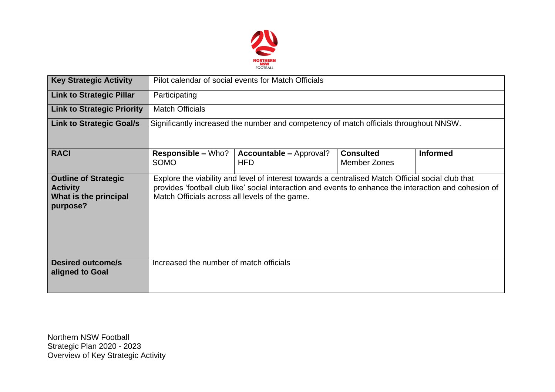

| <b>Key Strategic Activity</b>                                                       | Pilot calendar of social events for Match Officials                                                                                                                                                                                                           |                                              |                                  |                 |  |  |  |  |
|-------------------------------------------------------------------------------------|---------------------------------------------------------------------------------------------------------------------------------------------------------------------------------------------------------------------------------------------------------------|----------------------------------------------|----------------------------------|-----------------|--|--|--|--|
| <b>Link to Strategic Pillar</b>                                                     | Participating                                                                                                                                                                                                                                                 |                                              |                                  |                 |  |  |  |  |
| <b>Link to Strategic Priority</b>                                                   | <b>Match Officials</b>                                                                                                                                                                                                                                        |                                              |                                  |                 |  |  |  |  |
| <b>Link to Strategic Goal/s</b>                                                     | Significantly increased the number and competency of match officials throughout NNSW.                                                                                                                                                                         |                                              |                                  |                 |  |  |  |  |
| <b>RACI</b>                                                                         | <b>Responsible – Who?</b><br><b>SOMO</b>                                                                                                                                                                                                                      | <b>Accountable – Approval?</b><br><b>HFD</b> | <b>Consulted</b><br>Member Zones | <b>Informed</b> |  |  |  |  |
| <b>Outline of Strategic</b><br><b>Activity</b><br>What is the principal<br>purpose? | Explore the viability and level of interest towards a centralised Match Official social club that<br>provides 'football club like' social interaction and events to enhance the interaction and cohesion of<br>Match Officials across all levels of the game. |                                              |                                  |                 |  |  |  |  |
| <b>Desired outcome/s</b><br>aligned to Goal                                         | Increased the number of match officials                                                                                                                                                                                                                       |                                              |                                  |                 |  |  |  |  |